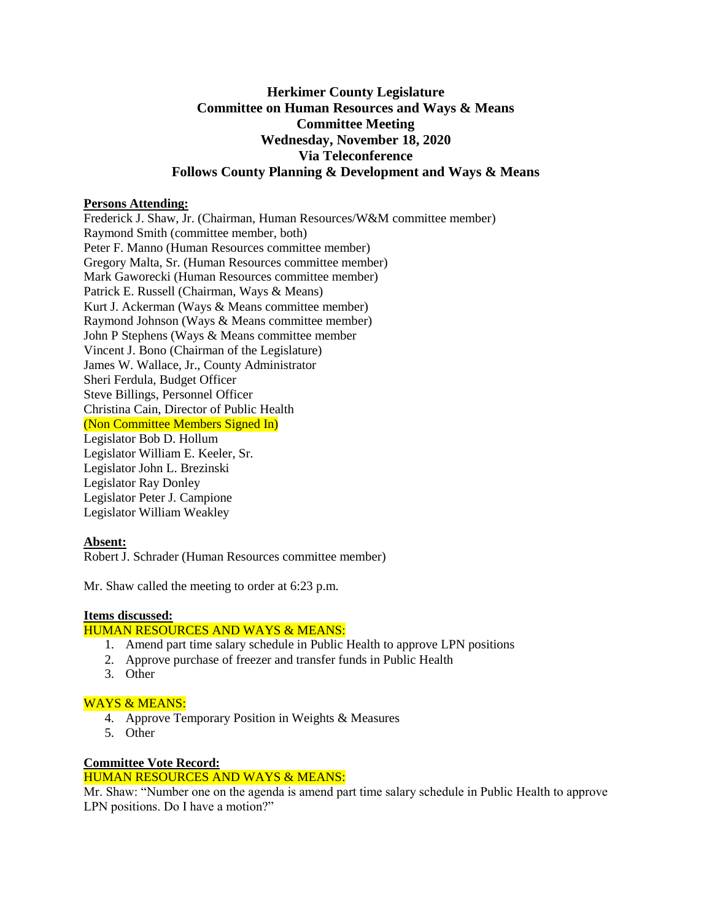# **Herkimer County Legislature Committee on Human Resources and Ways & Means Committee Meeting Wednesday, November 18, 2020 Via Teleconference Follows County Planning & Development and Ways & Means**

## **Persons Attending:**

Frederick J. Shaw, Jr. (Chairman, Human Resources/W&M committee member) Raymond Smith (committee member, both) Peter F. Manno (Human Resources committee member) Gregory Malta, Sr. (Human Resources committee member) Mark Gaworecki (Human Resources committee member) Patrick E. Russell (Chairman, Ways & Means) Kurt J. Ackerman (Ways & Means committee member) Raymond Johnson (Ways & Means committee member) John P Stephens (Ways & Means committee member Vincent J. Bono (Chairman of the Legislature) James W. Wallace, Jr., County Administrator Sheri Ferdula, Budget Officer Steve Billings, Personnel Officer Christina Cain, Director of Public Health (Non Committee Members Signed In) Legislator Bob D. Hollum Legislator William E. Keeler, Sr. Legislator John L. Brezinski Legislator Ray Donley Legislator Peter J. Campione Legislator William Weakley

## **Absent:**

Robert J. Schrader (Human Resources committee member)

Mr. Shaw called the meeting to order at 6:23 p.m.

## **Items discussed:**

## HUMAN RESOURCES AND WAYS & MEANS:

- 1. Amend part time salary schedule in Public Health to approve LPN positions
- 2. Approve purchase of freezer and transfer funds in Public Health
- 3. Other

## WAYS & MEANS:

- 4. Approve Temporary Position in Weights & Measures
- 5. Other

## **Committee Vote Record:**

#### HUMAN RESOURCES AND WAYS & MEANS:

Mr. Shaw: "Number one on the agenda is amend part time salary schedule in Public Health to approve LPN positions. Do I have a motion?"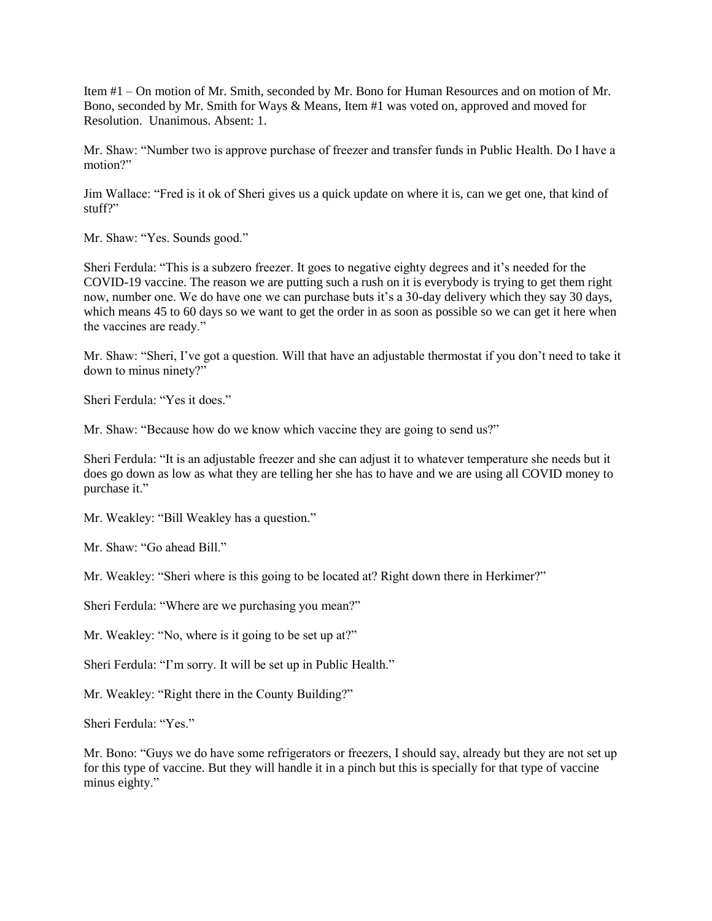Item #1 – On motion of Mr. Smith, seconded by Mr. Bono for Human Resources and on motion of Mr. Bono, seconded by Mr. Smith for Ways & Means, Item #1 was voted on, approved and moved for Resolution. Unanimous. Absent: 1.

Mr. Shaw: "Number two is approve purchase of freezer and transfer funds in Public Health. Do I have a motion?"

Jim Wallace: "Fred is it ok of Sheri gives us a quick update on where it is, can we get one, that kind of stuff?"

Mr. Shaw: "Yes. Sounds good."

Sheri Ferdula: "This is a subzero freezer. It goes to negative eighty degrees and it's needed for the COVID-19 vaccine. The reason we are putting such a rush on it is everybody is trying to get them right now, number one. We do have one we can purchase buts it's a 30-day delivery which they say 30 days, which means 45 to 60 days so we want to get the order in as soon as possible so we can get it here when the vaccines are ready."

Mr. Shaw: "Sheri, I've got a question. Will that have an adjustable thermostat if you don't need to take it down to minus ninety?"

Sheri Ferdula: "Yes it does."

Mr. Shaw: "Because how do we know which vaccine they are going to send us?"

Sheri Ferdula: "It is an adjustable freezer and she can adjust it to whatever temperature she needs but it does go down as low as what they are telling her she has to have and we are using all COVID money to purchase it."

Mr. Weakley: "Bill Weakley has a question."

Mr. Shaw: "Go ahead Bill."

Mr. Weakley: "Sheri where is this going to be located at? Right down there in Herkimer?"

Sheri Ferdula: "Where are we purchasing you mean?"

Mr. Weakley: "No, where is it going to be set up at?"

Sheri Ferdula: "I'm sorry. It will be set up in Public Health."

Mr. Weakley: "Right there in the County Building?"

Sheri Ferdula: "Yes."

Mr. Bono: "Guys we do have some refrigerators or freezers, I should say, already but they are not set up for this type of vaccine. But they will handle it in a pinch but this is specially for that type of vaccine minus eighty."